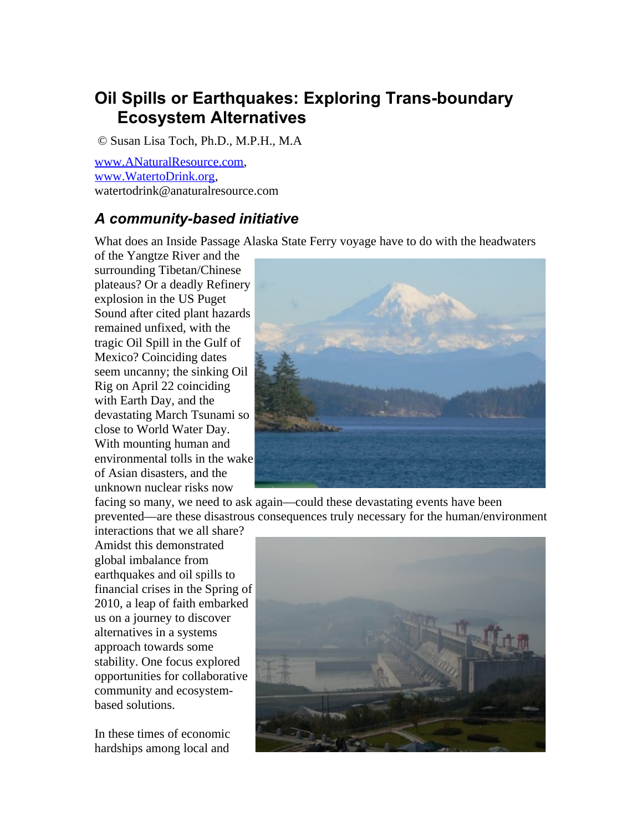# **Oil Spills or Earthquakes: Exploring Trans-boundary Ecosystem Alternatives**

© Susan Lisa Toch, Ph.D., M.P.H., M.A

[www.ANaturalResource.com,](http://www.ANaturalResource.com/) [www.WatertoDrink.org,](http://www.WatertoDrink.org/) watertodrink@anaturalresource.com

#### *A community-based initiative*

What does an Inside Passage Alaska State Ferry voyage have to do with the headwaters

of the Yangtze River and the surrounding Tibetan/Chinese plateaus? Or a deadly Refinery explosion in the US Puget Sound after cited plant hazards remained unfixed, with the tragic Oil Spill in the Gulf of Mexico? Coinciding dates seem uncanny; the sinking Oil Rig on April 22 coinciding with Earth Day, and the devastating March Tsunami so close to World Water Day. With mounting human and environmental tolls in the wake of Asian disasters, and the unknown nuclear risks now



facing so many, we need to ask again—could these devastating events have been prevented—are these disastrous consequences truly necessary for the human/environment

interactions that we all share? Amidst this demonstrated global imbalance from earthquakes and oil spills to financial crises in the Spring of 2010, a leap of faith embarked us on a journey to discover alternatives in a systems approach towards some stability. One focus explored opportunities for collaborative community and ecosystembased solutions.

In these times of economic hardships among local and

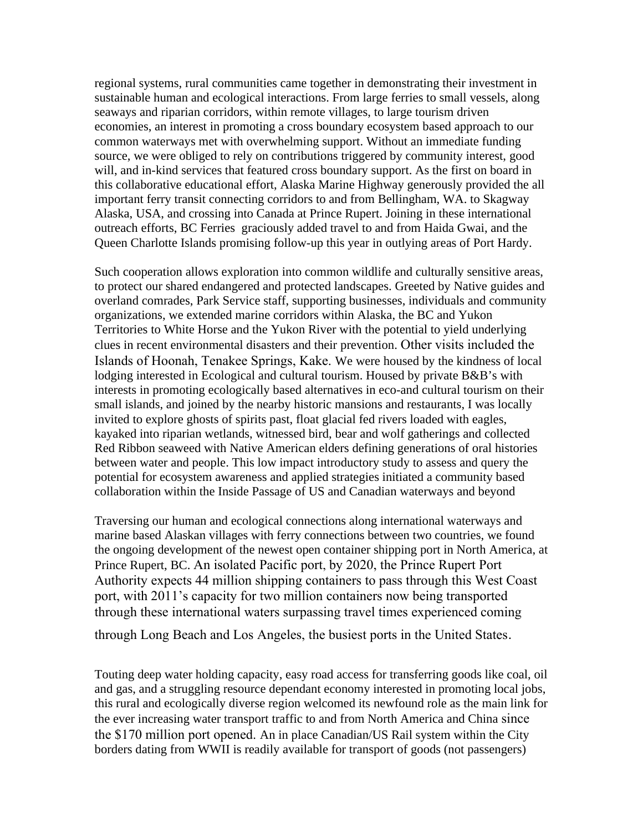regional systems, rural communities came together in demonstrating their investment in sustainable human and ecological interactions. From large ferries to small vessels, along seaways and riparian corridors, within remote villages, to large tourism driven economies, an interest in promoting a cross boundary ecosystem based approach to our common waterways met with overwhelming support. Without an immediate funding source, we were obliged to rely on contributions triggered by community interest, good will, and in-kind services that featured cross boundary support. As the first on board in this collaborative educational effort, Alaska Marine Highway generously provided the all important ferry transit connecting corridors to and from Bellingham, WA. to Skagway Alaska, USA, and crossing into Canada at Prince Rupert. Joining in these international outreach efforts, BC Ferries graciously added travel to and from Haida Gwai, and the Queen Charlotte Islands promising follow-up this year in outlying areas of Port Hardy.

Such cooperation allows exploration into common wildlife and culturally sensitive areas, to protect our shared endangered and protected landscapes. Greeted by Native guides and overland comrades, Park Service staff, supporting businesses, individuals and community organizations, we extended marine corridors within Alaska, the BC and Yukon Territories to White Horse and the Yukon River with the potential to yield underlying clues in recent environmental disasters and their prevention. Other visits included the Islands of Hoonah, Tenakee Springs, Kake. We were housed by the kindness of local lodging interested in Ecological and cultural tourism. Housed by private B&B's with interests in promoting ecologically based alternatives in eco-and cultural tourism on their small islands, and joined by the nearby historic mansions and restaurants, I was locally invited to explore ghosts of spirits past, float glacial fed rivers loaded with eagles, kayaked into riparian wetlands, witnessed bird, bear and wolf gatherings and collected Red Ribbon seaweed with Native American elders defining generations of oral histories between water and people. This low impact introductory study to assess and query the potential for ecosystem awareness and applied strategies initiated a community based collaboration within the Inside Passage of US and Canadian waterways and beyond

Traversing our human and ecological connections along international waterways and marine based Alaskan villages with ferry connections between two countries, we found the ongoing development of the newest open container shipping port in North America, at Prince Rupert, BC. An isolated Pacific port, by 2020, the Prince Rupert Port Authority expects 44 million shipping containers to pass through this West Coast port, with 2011's capacity for two million containers now being transported through these international waters surpassing travel times experienced coming

through Long Beach and Los Angeles, the busiest ports in the United States.

Touting deep water holding capacity, easy road access for transferring goods like coal, oil and gas, and a struggling resource dependant economy interested in promoting local jobs, this rural and ecologically diverse region welcomed its newfound role as the main link for the ever increasing water transport traffic to and from North America and China since the \$170 million port opened. An in place Canadian/US Rail system within the City borders dating from WWII is readily available for transport of goods (not passengers)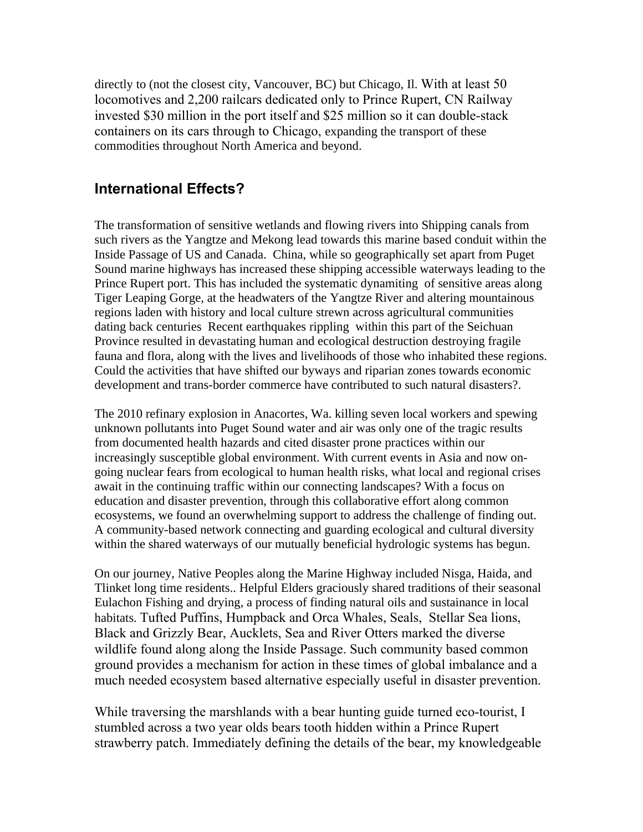directly to (not the closest city, Vancouver, BC) but Chicago, Il. With at least 50 locomotives and 2,200 railcars dedicated only to Prince Rupert, CN Railway invested \$30 million in the port itself and \$25 million so it can double-stack containers on its cars through to Chicago, expanding the transport of these commodities throughout North America and beyond.

#### **International Effects?**

The transformation of sensitive wetlands and flowing rivers into Shipping canals from such rivers as the Yangtze and Mekong lead towards this marine based conduit within the Inside Passage of US and Canada. China, while so geographically set apart from Puget Sound marine highways has increased these shipping accessible waterways leading to the Prince Rupert port. This has included the systematic dynamiting of sensitive areas along Tiger Leaping Gorge, at the headwaters of the Yangtze River and altering mountainous regions laden with history and local culture strewn across agricultural communities dating back centuries Recent earthquakes rippling within this part of the Seichuan Province resulted in devastating human and ecological destruction destroying fragile fauna and flora, along with the lives and livelihoods of those who inhabited these regions. Could the activities that have shifted our byways and riparian zones towards economic development and trans-border commerce have contributed to such natural disasters?.

The 2010 refinary explosion in Anacortes, Wa. killing seven local workers and spewing unknown pollutants into Puget Sound water and air was only one of the tragic results from documented health hazards and cited disaster prone practices within our increasingly susceptible global environment. With current events in Asia and now ongoing nuclear fears from ecological to human health risks, what local and regional crises await in the continuing traffic within our connecting landscapes? With a focus on education and disaster prevention, through this collaborative effort along common ecosystems, we found an overwhelming support to address the challenge of finding out. A community-based network connecting and guarding ecological and cultural diversity within the shared waterways of our mutually beneficial hydrologic systems has begun.

On our journey, Native Peoples along the Marine Highway included Nisga, Haida, and Tlinket long time residents.. Helpful Elders graciously shared traditions of their seasonal Eulachon Fishing and drying, a process of finding natural oils and sustainance in local habitats. Tufted Puffins, Humpback and Orca Whales, Seals, Stellar Sea lions, Black and Grizzly Bear, Aucklets, Sea and River Otters marked the diverse wildlife found along along the Inside Passage. Such community based common ground provides a mechanism for action in these times of global imbalance and a much needed ecosystem based alternative especially useful in disaster prevention.

While traversing the marshlands with a bear hunting guide turned eco-tourist, I stumbled across a two year olds bears tooth hidden within a Prince Rupert strawberry patch. Immediately defining the details of the bear, my knowledgeable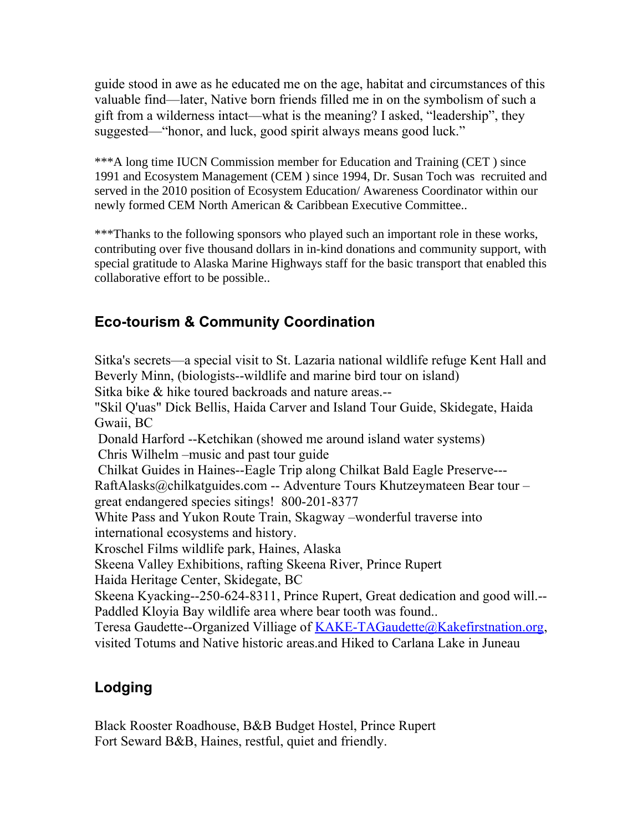guide stood in awe as he educated me on the age, habitat and circumstances of this valuable find—later, Native born friends filled me in on the symbolism of such a gift from a wilderness intact—what is the meaning? I asked, "leadership", they suggested—"honor, and luck, good spirit always means good luck."

\*\*\*A long time IUCN Commission member for Education and Training (CET ) since 1991 and Ecosystem Management (CEM ) since 1994, Dr. Susan Toch was recruited and served in the 2010 position of Ecosystem Education/ Awareness Coordinator within our newly formed CEM North American & Caribbean Executive Committee..

\*\*\*Thanks to the following sponsors who played such an important role in these works, contributing over five thousand dollars in in-kind donations and community support, with special gratitude to Alaska Marine Highways staff for the basic transport that enabled this collaborative effort to be possible..

## **Eco-tourism & Community Coordination**

Sitka's secrets—a special visit to St. Lazaria national wildlife refuge Kent Hall and Beverly Minn, (biologists--wildlife and marine bird tour on island) Sitka bike & hike toured backroads and nature areas.-- "Skil Q'uas" Dick Bellis, Haida Carver and Island Tour Guide, Skidegate, Haida Gwaii, BC Donald Harford --Ketchikan (showed me around island water systems) Chris Wilhelm –music and past tour guide Chilkat Guides in Haines--Eagle Trip along Chilkat Bald Eagle Preserve--- RaftAlasks@chilkatguides.com -- Adventure Tours Khutzeymateen Bear tour – great endangered species sitings! 800-201-8377 White Pass and Yukon Route Train, Skagway –wonderful traverse into international ecosystems and history. Kroschel Films wildlife park, Haines, Alaska Skeena Valley Exhibitions, rafting Skeena River, Prince Rupert Haida Heritage Center, Skidegate, BC Skeena Kyacking--250-624-8311, Prince Rupert, Great dedication and good will.-- Paddled Kloyia Bay wildlife area where bear tooth was found.. Teresa Gaudette--Organized Villiage of [KAKE-TAGaudette@Kakefirstnation.org,](mailto:KAKE-TAGaudette@Kakefirstnation.org) visited Totums and Native historic areas.and Hiked to Carlana Lake in Juneau

### **Lodging**

Black Rooster Roadhouse, B&B Budget Hostel, Prince Rupert Fort Seward B&B, Haines, restful, quiet and friendly.